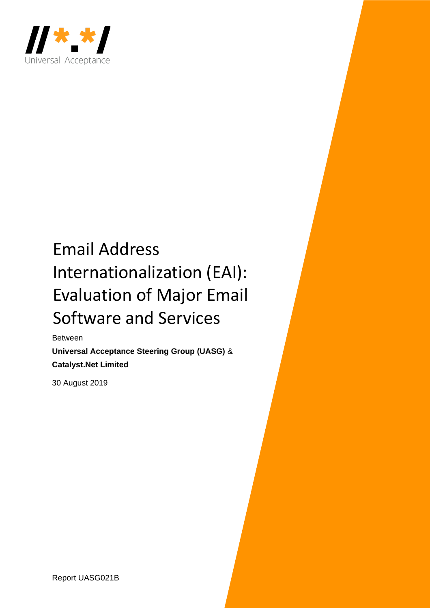

# Email Address Internationalization (EAI): Evaluation of Major Email Software and Services

Between **Universal Acceptance Steering Group (UASG)** & **Catalyst.Net Limited**

30 August 2019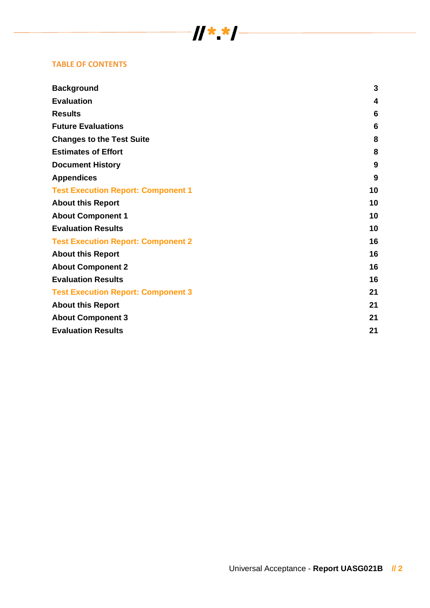### **TABLE OF CONTENTS**

| <b>Background</b>                         | 3               |
|-------------------------------------------|-----------------|
| <b>Evaluation</b>                         | 4               |
| <b>Results</b>                            | 6               |
| <b>Future Evaluations</b>                 | $6\phantom{1}6$ |
| <b>Changes to the Test Suite</b>          | 8               |
| <b>Estimates of Effort</b>                | 8               |
| <b>Document History</b>                   | 9               |
| <b>Appendices</b>                         | 9               |
| <b>Test Execution Report: Component 1</b> | 10              |
| <b>About this Report</b>                  | 10              |
| <b>About Component 1</b>                  | 10              |
| <b>Evaluation Results</b>                 | 10              |
| <b>Test Execution Report: Component 2</b> | 16              |
| <b>About this Report</b>                  | 16              |
| <b>About Component 2</b>                  | 16              |
| <b>Evaluation Results</b>                 | 16              |
| <b>Test Execution Report: Component 3</b> | 21              |
| <b>About this Report</b>                  | 21              |
| <b>About Component 3</b>                  | 21              |
| <b>Evaluation Results</b>                 | 21              |

 $\frac{1}{2}$   $\frac{1}{2}$   $\frac{1}{2}$   $\frac{1}{2}$   $\frac{1}{2}$   $\frac{1}{2}$   $\frac{1}{2}$   $\frac{1}{2}$   $\frac{1}{2}$   $\frac{1}{2}$   $\frac{1}{2}$   $\frac{1}{2}$   $\frac{1}{2}$   $\frac{1}{2}$   $\frac{1}{2}$   $\frac{1}{2}$   $\frac{1}{2}$   $\frac{1}{2}$   $\frac{1}{2}$   $\frac{1}{2}$   $\frac{1}{2}$   $\frac{1}{2}$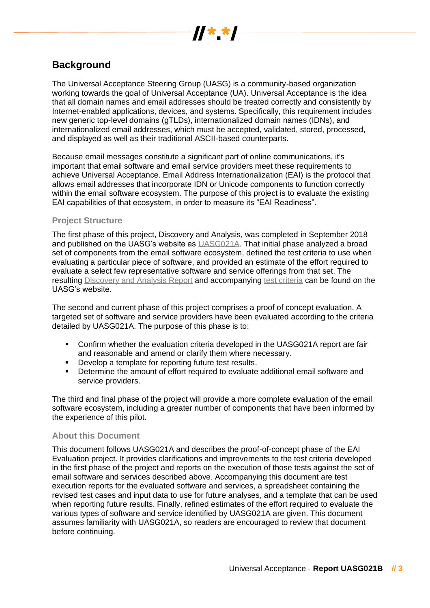

# **Background**

The Universal Acceptance Steering Group (UASG) is a community-based organization working towards the goal of Universal Acceptance (UA). Universal Acceptance is the idea that all domain names and email addresses should be treated correctly and consistently by Internet-enabled applications, devices, and systems. Specifically, this requirement includes new generic top-level domains (gTLDs), internationalized domain names (IDNs), and internationalized email addresses, which must be accepted, validated, stored, processed, and displayed as well as their traditional ASCII-based counterparts.

Because email messages constitute a significant part of online communications, it's important that email software and email service providers meet these requirements to achieve Universal Acceptance. Email Address Internationalization (EAI) is the protocol that allows email addresses that incorporate IDN or Unicode components to function correctly within the email software ecosystem. The purpose of this project is to evaluate the existing EAI capabilities of that ecosystem, in order to measure its "EAI Readiness".

### **Project Structure**

The first phase of this project, Discovery and Analysis, was completed in September 2018 and published on the UASG's website as [UASG021A.](https://uasg.tech/wp-content/uploads/2018/09/UASG021A.pdf) That initial phase analyzed a broad set of components from the email software ecosystem, defined the test criteria to use when evaluating a particular piece of software, and provided an estimate of the effort required to evaluate a select few representative software and service offerings from that set. The resulting [Discovery and Analysis Report](https://uasg.tech/wp-content/uploads/2018/09/UASG021A.pdf) and accompanying [test criteria](https://uasg.tech/wp-content/uploads/2018/09/UASG021A.xlsx) can be found on the UASG's website.

The second and current phase of this project comprises a proof of concept evaluation. A targeted set of software and service providers have been evaluated according to the criteria detailed by UASG021A. The purpose of this phase is to:

- Confirm whether the evaluation criteria developed in the UASG021A report are fair and reasonable and amend or clarify them where necessary.
- Develop a template for reporting future test results.
- Determine the amount of effort required to evaluate additional email software and service providers.

The third and final phase of the project will provide a more complete evaluation of the email software ecosystem, including a greater number of components that have been informed by the experience of this pilot.

### **About this Document**

This document follows UASG021A and describes the proof-of-concept phase of the EAI Evaluation project. It provides clarifications and improvements to the test criteria developed in the first phase of the project and reports on the execution of those tests against the set of email software and services described above. Accompanying this document are test execution reports for the evaluated software and services, a spreadsheet containing the revised test cases and input data to use for future analyses, and a template that can be used when reporting future results. Finally, refined estimates of the effort required to evaluate the various types of software and service identified by UASG021A are given. This document assumes familiarity with UASG021A, so readers are encouraged to review that document before continuing.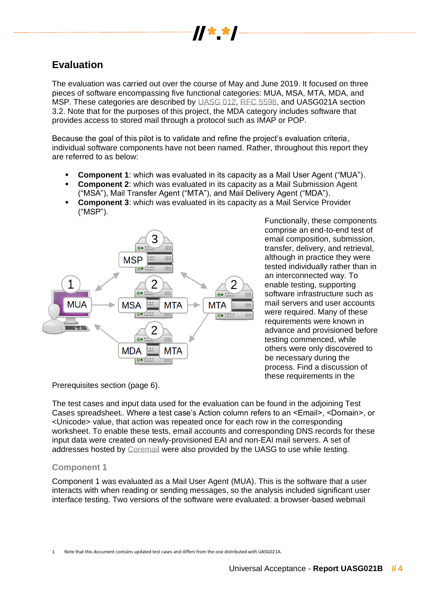

# **Evaluation**

The evaluation was carried out over the course of May and June 2019. It focused on three pieces of software encompassing five functional categories: MUA, MSA, MTA, MDA, and MSP. These categories are described by [UASG 012,](https://uasg.tech/wp-content/uploads/2018/06/UASG012.pdf) [RFC 5598,](https://tools.ietf.org/html/rfc5598) and UASG021A section 3.2. Note that for the purposes of this project, the MDA category includes software that provides access to stored mail through a protocol such as IMAP or POP.

Because the goal of this pilot is to validate and refine the project's evaluation criteria, individual software components have not been named. Rather, throughout this report they are referred to as below:

- **Component 1:** which was evaluated in its capacity as a Mail User Agent ("MUA").
- **Component 2:** which was evaluated in its capacity as a Mail Submission Agent ("MSA"), Mail Transfer Agent ("MTA"), and Mail Delivery Agent ("MDA").
- **Component 3:** which was evaluated in its capacity as a Mail Service Provider ("MSP").



Functionally, these components comprise an end-to-end test of email composition, submission, transfer, delivery, and retrieval, although in practice they were tested individually rather than in an interconnected way. To enable testing, supporting software infrastructure such as mail servers and user accounts were required. Many of these requirements were known in advance and provisioned before testing commenced, while others were only discovered to be necessary during the process. Find a discussion of these requirements in the

Prerequisites section (page 6).

The test cases and input data used for the evaluation can be found in the adjoining Test Cases spreadsheet, Where a test case's Action column refers to an <Email>, <Domain>, or <Unicode> value, that action was repeated once for each row in the corresponding worksheet. To enable these tests, email accounts and corresponding DNS records for these input data were created on newly-provisioned EAI and non-EAI mail servers. A set of addresses hosted by [Coremail](https://www.coremail.cn/) were also provided by the UASG to use while testing.

### **Component 1**

Component 1 was evaluated as a Mail User Agent (MUA). This is the software that a user interacts with when reading or sending messages, so the analysis included significant user interface testing. Two versions of the software were evaluated: a browser-based webmail

<sup>1</sup> Note that this document contains updated test cases and differs from the one distributed with UASG021A.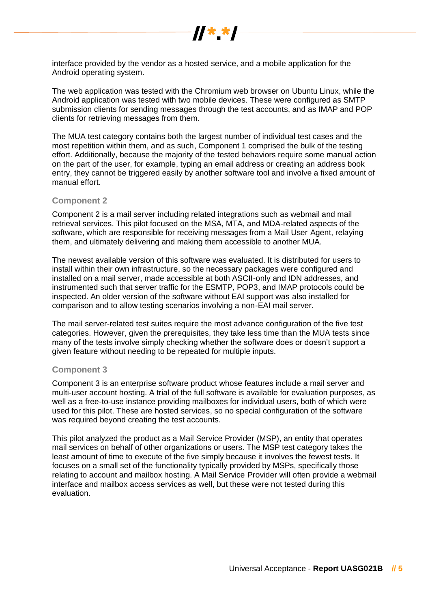

interface provided by the vendor as a hosted service, and a mobile application for the Android operating system.

The web application was tested with the Chromium web browser on Ubuntu Linux, while the Android application was tested with two mobile devices. These were configured as SMTP submission clients for sending messages through the test accounts, and as IMAP and POP clients for retrieving messages from them.

The MUA test category contains both the largest number of individual test cases and the most repetition within them, and as such, Component 1 comprised the bulk of the testing effort. Additionally, because the majority of the tested behaviors require some manual action on the part of the user, for example, typing an email address or creating an address book entry, they cannot be triggered easily by another software tool and involve a fixed amount of manual effort.

#### **Component 2**

Component 2 is a mail server including related integrations such as webmail and mail retrieval services. This pilot focused on the MSA, MTA, and MDA-related aspects of the software, which are responsible for receiving messages from a Mail User Agent, relaying them, and ultimately delivering and making them accessible to another MUA.

The newest available version of this software was evaluated. It is distributed for users to install within their own infrastructure, so the necessary packages were configured and installed on a mail server, made accessible at both ASCII-only and IDN addresses, and instrumented such that server traffic for the ESMTP, POP3, and IMAP protocols could be inspected. An older version of the software without EAI support was also installed for comparison and to allow testing scenarios involving a non-EAI mail server.

The mail server-related test suites require the most advance configuration of the five test categories. However, given the prerequisites, they take less time than the MUA tests since many of the tests involve simply checking whether the software does or doesn't support a given feature without needing to be repeated for multiple inputs.

#### **Component 3**

Component 3 is an enterprise software product whose features include a mail server and multi-user account hosting. A trial of the full software is available for evaluation purposes, as well as a free-to-use instance providing mailboxes for individual users, both of which were used for this pilot. These are hosted services, so no special configuration of the software was required beyond creating the test accounts.

This pilot analyzed the product as a Mail Service Provider (MSP), an entity that operates mail services on behalf of other organizations or users. The MSP test category takes the least amount of time to execute of the five simply because it involves the fewest tests. It focuses on a small set of the functionality typically provided by MSPs, specifically those relating to account and mailbox hosting. A Mail Service Provider will often provide a webmail interface and mailbox access services as well, but these were not tested during this evaluation.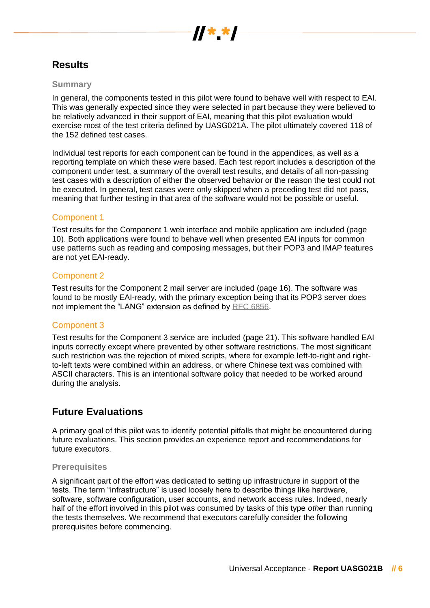

# **Results**

### **Summary**

In general, the components tested in this pilot were found to behave well with respect to EAI. This was generally expected since they were selected in part because they were believed to be relatively advanced in their support of EAI, meaning that this pilot evaluation would exercise most of the test criteria defined by UASG021A. The pilot ultimately covered 118 of the 152 defined test cases.

Individual test reports for each component can be found in the appendices, as well as a reporting template on which these were based. Each test report includes a description of the component under test, a summary of the overall test results, and details of all non-passing test cases with a description of either the observed behavior or the reason the test could not be executed. In general, test cases were only skipped when a preceding test did not pass, meaning that further testing in that area of the software would not be possible or useful.

### Component 1

Test results for the Component 1 web interface and mobile application are included (page 10). Both applications were found to behave well when presented EAI inputs for common use patterns such as reading and composing messages, but their POP3 and IMAP features are not yet EAI-ready.

### Component 2

Test results for the Component 2 mail server are included (page 16). The software was found to be mostly EAI-ready, with the primary exception being that its POP3 server does not implement the "LANG" extension as defined by [RFC 6856.](https://tools.ietf.org/html/rfc6856#section-3)

### Component 3

Test results for the Component 3 service are included (page 21). This software handled EAI inputs correctly except where prevented by other software restrictions. The most significant such restriction was the rejection of mixed scripts, where for example left-to-right and rightto-left texts were combined within an address, or where Chinese text was combined with ASCII characters. This is an intentional software policy that needed to be worked around during the analysis.

### **Future Evaluations**

A primary goal of this pilot was to identify potential pitfalls that might be encountered during future evaluations. This section provides an experience report and recommendations for future executors.

### **Prerequisites**

A significant part of the effort was dedicated to setting up infrastructure in support of the tests. The term "infrastructure" is used loosely here to describe things like hardware, software, software configuration, user accounts, and network access rules. Indeed, nearly half of the effort involved in this pilot was consumed by tasks of this type *other* than running the tests themselves. We recommend that executors carefully consider the following prerequisites before commencing.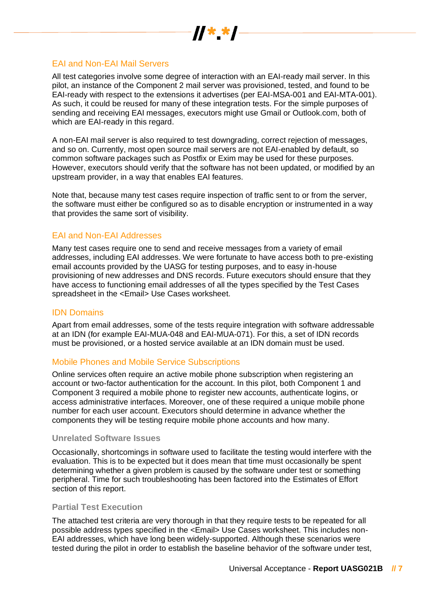

### EAI and Non-EAI Mail Servers

All test categories involve some degree of interaction with an EAI-ready mail server. In this pilot, an instance of the Component 2 mail server was provisioned, tested, and found to be EAI-ready with respect to the extensions it advertises (per EAI-MSA-001 and EAI-MTA-001). As such, it could be reused for many of these integration tests. For the simple purposes of sending and receiving EAI messages, executors might use Gmail or Outlook.com, both of which are EAI-ready in this regard.

A non-EAI mail server is also required to test downgrading, correct rejection of messages, and so on. Currently, most open source mail servers are not EAI-enabled by default, so common software packages such as Postfix or Exim may be used for these purposes. However, executors should verify that the software has not been updated, or modified by an upstream provider, in a way that enables EAI features.

Note that, because many test cases require inspection of traffic sent to or from the server, the software must either be configured so as to disable encryption or instrumented in a way that provides the same sort of visibility.

### EAI and Non-EAI Addresses

Many test cases require one to send and receive messages from a variety of email addresses, including EAI addresses. We were fortunate to have access both to pre-existing email accounts provided by the UASG for testing purposes, and to easy in-house provisioning of new addresses and DNS records. Future executors should ensure that they have access to functioning email addresses of all the types specified by the Test Cases spreadsheet in the <Email> Use Cases worksheet.

### IDN Domains

Apart from email addresses, some of the tests require integration with software addressable at an IDN (for example EAI-MUA-048 and EAI-MUA-071). For this, a set of IDN records must be provisioned, or a hosted service available at an IDN domain must be used.

### Mobile Phones and Mobile Service Subscriptions

Online services often require an active mobile phone subscription when registering an account or two-factor authentication for the account. In this pilot, both Component 1 and Component 3 required a mobile phone to register new accounts, authenticate logins, or access administrative interfaces. Moreover, one of these required a unique mobile phone number for each user account. Executors should determine in advance whether the components they will be testing require mobile phone accounts and how many.

#### **Unrelated Software Issues**

Occasionally, shortcomings in software used to facilitate the testing would interfere with the evaluation. This is to be expected but it does mean that time must occasionally be spent determining whether a given problem is caused by the software under test or something peripheral. Time for such troubleshooting has been factored into the Estimates of Effort section of this report.

### **Partial Test Execution**

The attached test criteria are very thorough in that they require tests to be repeated for all possible address types specified in the <Email> Use Cases worksheet. This includes non-EAI addresses, which have long been widely-supported. Although these scenarios were tested during the pilot in order to establish the baseline behavior of the software under test,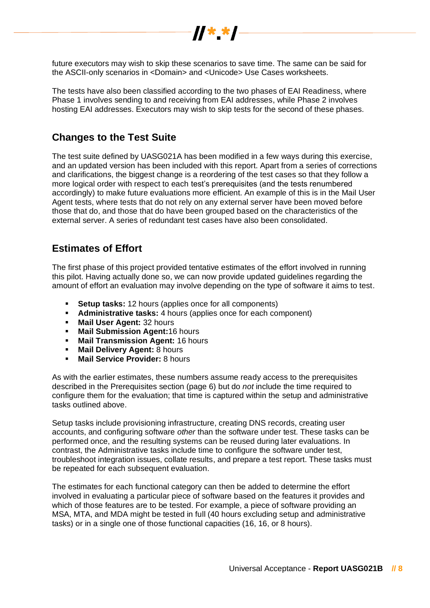

future executors may wish to skip these scenarios to save time. The same can be said for the ASCII-only scenarios in <Domain> and <Unicode> Use Cases worksheets.

The tests have also been classified according to the two phases of EAI Readiness, where Phase 1 involves sending to and receiving from EAI addresses, while Phase 2 involves hosting EAI addresses. Executors may wish to skip tests for the second of these phases.

### **Changes to the Test Suite**

The test suite defined by UASG021A has been modified in a few ways during this exercise, and an updated version has been included with this report. Apart from a series of corrections and clarifications, the biggest change is a reordering of the test cases so that they follow a more logical order with respect to each test's prerequisites (and the tests renumbered accordingly) to make future evaluations more efficient. An example of this is in the Mail User Agent tests, where tests that do not rely on any external server have been moved before those that do, and those that do have been grouped based on the characteristics of the external server. A series of redundant test cases have also been consolidated.

# **Estimates of Effort**

The first phase of this project provided tentative estimates of the effort involved in running this pilot. Having actually done so, we can now provide updated guidelines regarding the amount of effort an evaluation may involve depending on the type of software it aims to test.

- **Setup tasks:** 12 hours (applies once for all components)
- **Administrative tasks:** 4 hours (applies once for each component)
- **Mail User Agent:** 32 hours<br>■ Mail Submission Agent:16
- **Mail Submission Agent:16 hours**
- **Mail Transmission Agent:** 16 hours
- **Mail Delivery Agent:** 8 hours
- **Mail Service Provider:** 8 hours

As with the earlier estimates, these numbers assume ready access to the prerequisites described in the Prerequisites section (page 6) but do *not* include the time required to configure them for the evaluation; that time is captured within the setup and administrative tasks outlined above.

Setup tasks include provisioning infrastructure, creating DNS records, creating user accounts, and configuring software *other* than the software under test. These tasks can be performed once, and the resulting systems can be reused during later evaluations. In contrast, the Administrative tasks include time to configure the software under test, troubleshoot integration issues, collate results, and prepare a test report. These tasks must be repeated for each subsequent evaluation.

The estimates for each functional category can then be added to determine the effort involved in evaluating a particular piece of software based on the features it provides and which of those features are to be tested. For example, a piece of software providing an MSA, MTA, and MDA might be tested in full (40 hours excluding setup and administrative tasks) or in a single one of those functional capacities (16, 16, or 8 hours).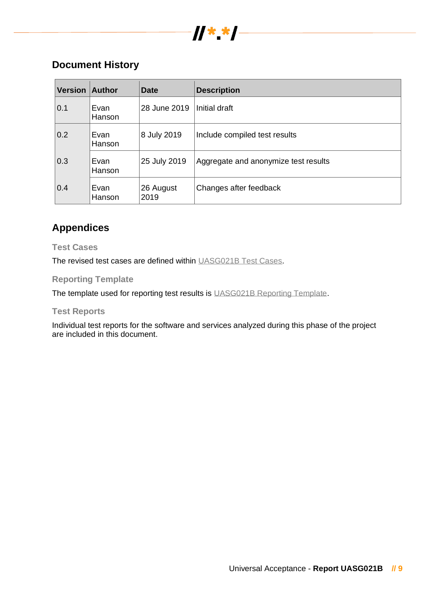

# **Document History**

| <b>Version</b> | <b>Author</b>         | <b>Date</b>       | <b>Description</b>                   |
|----------------|-----------------------|-------------------|--------------------------------------|
| 0.1            | Evan<br><b>Hanson</b> | 28 June 2019      | Initial draft                        |
| 0.2            | Evan<br><b>Hanson</b> | 8 July 2019       | Include compiled test results        |
| 0.3            | Evan<br>Hanson        | 25 July 2019      | Aggregate and anonymize test results |
| 0.4            | Evan<br>Hanson        | 26 August<br>2019 | Changes after feedback               |

# **Appendices**

### **Test Cases**

The revised test cases are defined within [UASG021B Test Cases.](https://uasg.tech/information/it-leaders/)

### **Reporting Template**

The template used for reporting test results is [UASG021B Reporting Template.](https://uasg.tech/information/it-leaders/)

### **Test Reports**

Individual test reports for the software and services analyzed during this phase of the project are included in this document.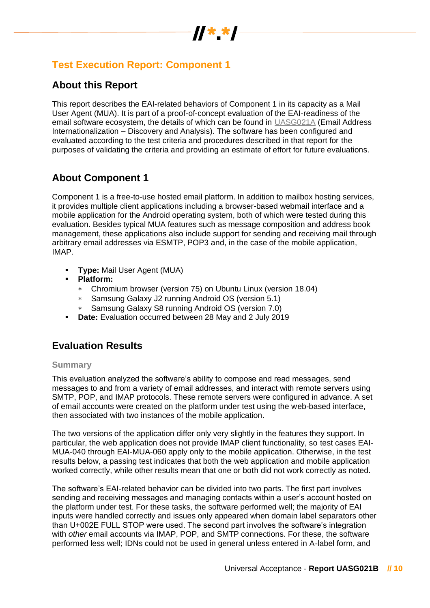

# **Test Execution Report: Component 1**

# **About this Report**

This report describes the EAI-related behaviors of Component 1 in its capacity as a Mail User Agent (MUA). It is part of a proof-of-concept evaluation of the EAI-readiness of the email software ecosystem, the details of which can be found in [UASG021A](https://uasg.tech/wp-content/uploads/2018/09/UASG021A.pdf) (Email Address Internationalization – Discovery and Analysis). The software has been configured and evaluated according to the test criteria and procedures described in that report for the purposes of validating the criteria and providing an estimate of effort for future evaluations.

# **About Component 1**

Component 1 is a free-to-use hosted email platform. In addition to mailbox hosting services, it provides multiple client applications including a browser-based webmail interface and a mobile application for the Android operating system, both of which were tested during this evaluation. Besides typical MUA features such as message composition and address book management, these applications also include support for sending and receiving mail through arbitrary email addresses via ESMTP, POP3 and, in the case of the mobile application, IMAP.

- **Type:** Mail User Agent (MUA)
- **Platform:**
	- Chromium browser (version 75) on Ubuntu Linux (version 18.04)
	- Samsung Galaxy J2 running Android OS (version 5.1)
	- Samsung Galaxy S8 running Android OS (version 7.0)
- **Date:** Evaluation occurred between 28 May and 2 July 2019

# **Evaluation Results**

### **Summary**

This evaluation analyzed the software's ability to compose and read messages, send messages to and from a variety of email addresses, and interact with remote servers using SMTP, POP, and IMAP protocols. These remote servers were configured in advance. A set of email accounts were created on the platform under test using the web-based interface, then associated with two instances of the mobile application.

The two versions of the application differ only very slightly in the features they support. In particular, the web application does not provide IMAP client functionality, so test cases EAI-MUA-040 through EAI-MUA-060 apply only to the mobile application. Otherwise, in the test results below, a passing test indicates that both the web application and mobile application worked correctly, while other results mean that one or both did not work correctly as noted.

The software's EAI-related behavior can be divided into two parts. The first part involves sending and receiving messages and managing contacts within a user's account hosted on the platform under test. For these tasks, the software performed well; the majority of EAI inputs were handled correctly and issues only appeared when domain label separators other than U+002E FULL STOP were used. The second part involves the software's integration with *other* email accounts via IMAP, POP, and SMTP connections. For these, the software performed less well; IDNs could not be used in general unless entered in A-label form, and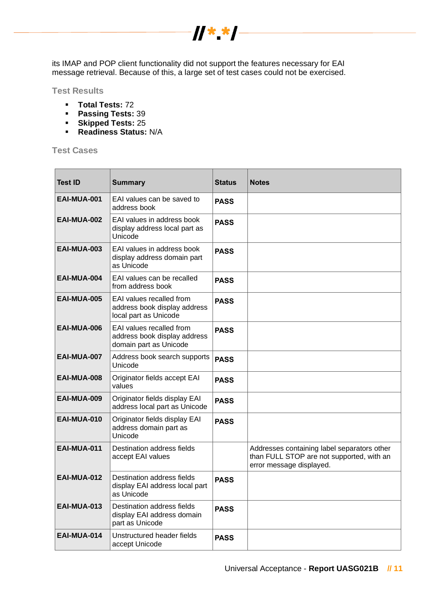

its IMAP and POP client functionality did not support the features necessary for EAI message retrieval. Because of this, a large set of test cases could not be exercised.

**Test Results**

- **Total Tests:** 72
- **Passing Tests:** 39
- **Skipped Tests:** 25
- **Readiness Status:** N/A

**Test Cases**

| <b>Test ID</b>     | <b>Summary</b>                                                                     | <b>Status</b> | <b>Notes</b>                                                                                                         |
|--------------------|------------------------------------------------------------------------------------|---------------|----------------------------------------------------------------------------------------------------------------------|
| <b>EAI-MUA-001</b> | EAI values can be saved to<br>address book                                         | <b>PASS</b>   |                                                                                                                      |
| EAI-MUA-002        | EAI values in address book<br>display address local part as<br>Unicode             | <b>PASS</b>   |                                                                                                                      |
| EAI-MUA-003        | EAI values in address book<br>display address domain part<br>as Unicode            | <b>PASS</b>   |                                                                                                                      |
| EAI-MUA-004        | EAI values can be recalled<br>from address book                                    | <b>PASS</b>   |                                                                                                                      |
| EAI-MUA-005        | EAI values recalled from<br>address book display address<br>local part as Unicode  | <b>PASS</b>   |                                                                                                                      |
| EAI-MUA-006        | EAI values recalled from<br>address book display address<br>domain part as Unicode | <b>PASS</b>   |                                                                                                                      |
| EAI-MUA-007        | Address book search supports<br>Unicode                                            | <b>PASS</b>   |                                                                                                                      |
| EAI-MUA-008        | Originator fields accept EAI<br>values                                             | <b>PASS</b>   |                                                                                                                      |
| EAI-MUA-009        | Originator fields display EAI<br>address local part as Unicode                     | <b>PASS</b>   |                                                                                                                      |
| EAI-MUA-010        | Originator fields display EAI<br>address domain part as<br>Unicode                 | <b>PASS</b>   |                                                                                                                      |
| EAI-MUA-011        | Destination address fields<br>accept EAI values                                    |               | Addresses containing label separators other<br>than FULL STOP are not supported, with an<br>error message displayed. |
| EAI-MUA-012        | Destination address fields<br>display EAI address local part<br>as Unicode         | <b>PASS</b>   |                                                                                                                      |
| <b>EAI-MUA-013</b> | Destination address fields<br>display EAI address domain<br>part as Unicode        | <b>PASS</b>   |                                                                                                                      |
| EAI-MUA-014        | Unstructured header fields<br>accept Unicode                                       | <b>PASS</b>   |                                                                                                                      |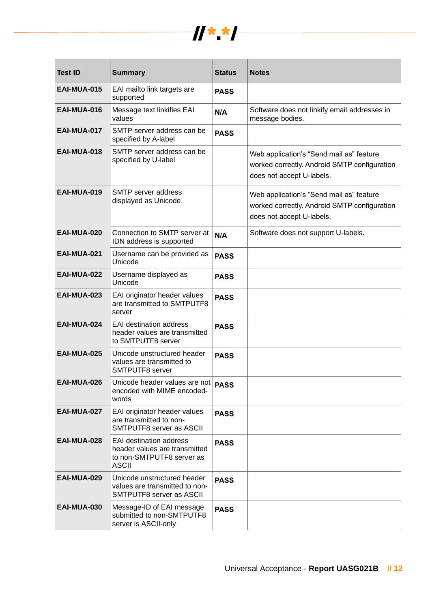

| <b>Test ID</b>     | <b>Summary</b>                                                                                               | <b>Status</b> | <b>Notes</b>                                                                                                          |
|--------------------|--------------------------------------------------------------------------------------------------------------|---------------|-----------------------------------------------------------------------------------------------------------------------|
| <b>EAI-MUA-015</b> | EAI mailto link targets are<br>supported                                                                     | <b>PASS</b>   |                                                                                                                       |
| EAI-MUA-016        | Message text linkifies EAI<br>values                                                                         | N/A           | Software does not linkify email addresses in<br>message bodies.                                                       |
| EAI-MUA-017        | SMTP server address can be<br>specified by A-label                                                           | <b>PASS</b>   |                                                                                                                       |
| <b>EAI-MUA-018</b> | SMTP server address can be<br>specified by U-label                                                           |               | Web application's "Send mail as" feature<br>worked correctly. Android SMTP configuration<br>does not accept U-labels. |
| EAI-MUA-019        | <b>SMTP</b> server address<br>displayed as Unicode                                                           |               | Web application's "Send mail as" feature<br>worked correctly. Android SMTP configuration<br>does not accept U-labels. |
| EAI-MUA-020        | Connection to SMTP server at<br>IDN address is supported                                                     | N/A           | Software does not support U-labels.                                                                                   |
| EAI-MUA-021        | Username can be provided as<br>Unicode                                                                       | <b>PASS</b>   |                                                                                                                       |
| EAI-MUA-022        | Username displayed as<br>Unicode                                                                             | <b>PASS</b>   |                                                                                                                       |
| EAI-MUA-023        | EAI originator header values<br>are transmitted to SMTPUTF8<br>server                                        | <b>PASS</b>   |                                                                                                                       |
| EAI-MUA-024        | <b>EAI destination address</b><br>header values are transmitted<br>to SMTPUTF8 server                        | <b>PASS</b>   |                                                                                                                       |
| <b>EAI-MUA-025</b> | Unicode unstructured header<br>values are transmitted to<br>SMTPUTF8 server                                  | <b>PASS</b>   |                                                                                                                       |
| EAI-MUA-026        | Unicode header values are not   PASS<br>encoded with MIME encoded-<br>words                                  |               |                                                                                                                       |
| EAI-MUA-027        | EAI originator header values<br>are transmitted to non-<br>SMTPUTF8 server as ASCII                          | <b>PASS</b>   |                                                                                                                       |
| EAI-MUA-028        | <b>EAI destination address</b><br>header values are transmitted<br>to non-SMTPUTF8 server as<br><b>ASCII</b> | <b>PASS</b>   |                                                                                                                       |
| <b>EAI-MUA-029</b> | Unicode unstructured header<br>values are transmitted to non-<br>SMTPUTF8 server as ASCII                    | <b>PASS</b>   |                                                                                                                       |
| <b>EAI-MUA-030</b> | Message-ID of EAI message<br>submitted to non-SMTPUTF8<br>server is ASCII-only                               | <b>PASS</b>   |                                                                                                                       |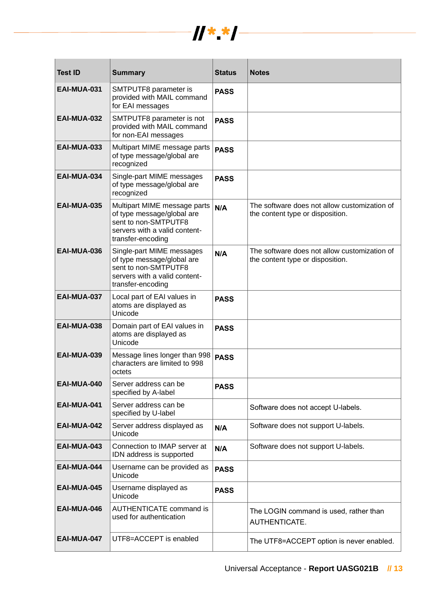

| <b>Test ID</b>     | <b>Summary</b>                                                                                                                           | <b>Status</b> | <b>Notes</b>                                                                     |
|--------------------|------------------------------------------------------------------------------------------------------------------------------------------|---------------|----------------------------------------------------------------------------------|
| EAI-MUA-031        | SMTPUTF8 parameter is<br>provided with MAIL command<br>for EAI messages                                                                  | <b>PASS</b>   |                                                                                  |
| EAI-MUA-032        | SMTPUTF8 parameter is not<br>provided with MAIL command<br>for non-EAI messages                                                          | <b>PASS</b>   |                                                                                  |
| <b>EAI-MUA-033</b> | Multipart MIME message parts<br>of type message/global are<br>recognized                                                                 | <b>PASS</b>   |                                                                                  |
| EAI-MUA-034        | Single-part MIME messages<br>of type message/global are<br>recognized                                                                    | <b>PASS</b>   |                                                                                  |
| <b>EAI-MUA-035</b> | Multipart MIME message parts<br>of type message/global are<br>sent to non-SMTPUTF8<br>servers with a valid content-<br>transfer-encoding | N/A           | The software does not allow customization of<br>the content type or disposition. |
| EAI-MUA-036        | Single-part MIME messages<br>of type message/global are<br>sent to non-SMTPUTF8<br>servers with a valid content-<br>transfer-encoding    | N/A           | The software does not allow customization of<br>the content type or disposition. |
| EAI-MUA-037        | Local part of EAI values in<br>atoms are displayed as<br>Unicode                                                                         | <b>PASS</b>   |                                                                                  |
| EAI-MUA-038        | Domain part of EAI values in<br>atoms are displayed as<br>Unicode                                                                        | <b>PASS</b>   |                                                                                  |
| EAI-MUA-039        | Message lines longer than 998<br>characters are limited to 998<br>octets                                                                 | <b>PASS</b>   |                                                                                  |
| EAI-MUA-040        | Server address can be<br>specified by A-label                                                                                            | <b>PASS</b>   |                                                                                  |
| EAI-MUA-041        | Server address can be<br>specified by U-label                                                                                            |               | Software does not accept U-labels.                                               |
| EAI-MUA-042        | Server address displayed as<br>Unicode                                                                                                   | N/A           | Software does not support U-labels.                                              |
| EAI-MUA-043        | Connection to IMAP server at<br>IDN address is supported                                                                                 | N/A           | Software does not support U-labels.                                              |
| EAI-MUA-044        | Username can be provided as<br>Unicode                                                                                                   | <b>PASS</b>   |                                                                                  |
| EAI-MUA-045        | Username displayed as<br>Unicode                                                                                                         | <b>PASS</b>   |                                                                                  |
| EAI-MUA-046        | <b>AUTHENTICATE command is</b><br>used for authentication                                                                                |               | The LOGIN command is used, rather than<br>AUTHENTICATE.                          |
| EAI-MUA-047        | UTF8=ACCEPT is enabled                                                                                                                   |               | The UTF8=ACCEPT option is never enabled.                                         |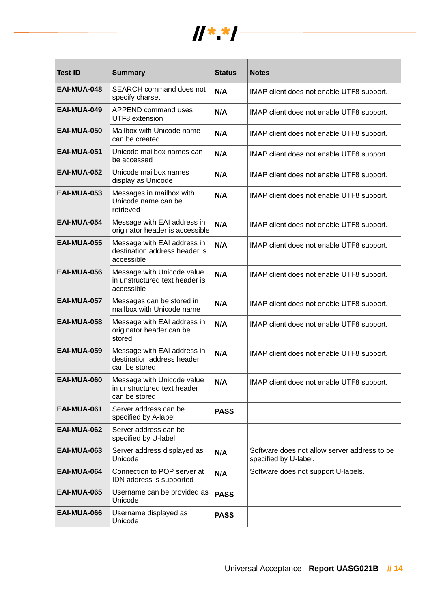

| <b>Test ID</b>     | <b>Summary</b>                                                             | <b>Status</b> | <b>Notes</b>                                                          |
|--------------------|----------------------------------------------------------------------------|---------------|-----------------------------------------------------------------------|
| EAI-MUA-048        | <b>SEARCH command does not</b><br>specify charset                          | N/A           | IMAP client does not enable UTF8 support.                             |
| EAI-MUA-049        | <b>APPEND command uses</b><br>UTF8 extension                               | N/A           | IMAP client does not enable UTF8 support.                             |
| EAI-MUA-050        | Mailbox with Unicode name<br>can be created                                | N/A           | IMAP client does not enable UTF8 support.                             |
| EAI-MUA-051        | Unicode mailbox names can<br>be accessed                                   | N/A           | IMAP client does not enable UTF8 support.                             |
| <b>EAI-MUA-052</b> | Unicode mailbox names<br>display as Unicode                                | N/A           | IMAP client does not enable UTF8 support.                             |
| <b>EAI-MUA-053</b> | Messages in mailbox with<br>Unicode name can be<br>retrieved               | N/A           | IMAP client does not enable UTF8 support.                             |
| EAI-MUA-054        | Message with EAI address in<br>originator header is accessible             | N/A           | IMAP client does not enable UTF8 support.                             |
| <b>EAI-MUA-055</b> | Message with EAI address in<br>destination address header is<br>accessible | N/A           | IMAP client does not enable UTF8 support.                             |
| <b>EAI-MUA-056</b> | Message with Unicode value<br>in unstructured text header is<br>accessible | N/A           | IMAP client does not enable UTF8 support.                             |
| <b>EAI-MUA-057</b> | Messages can be stored in<br>mailbox with Unicode name                     | N/A           | IMAP client does not enable UTF8 support.                             |
| <b>EAI-MUA-058</b> | Message with EAI address in<br>originator header can be<br>stored          | N/A           | IMAP client does not enable UTF8 support.                             |
| <b>EAI-MUA-059</b> | Message with EAI address in<br>destination address header<br>can be stored | N/A           | IMAP client does not enable UTF8 support.                             |
| EAI-MUA-060        | Message with Unicode value<br>in unstructured text header<br>can be stored | N/A           | IMAP client does not enable UTF8 support.                             |
| EAI-MUA-061        | Server address can be<br>specified by A-label                              | <b>PASS</b>   |                                                                       |
| EAI-MUA-062        | Server address can be<br>specified by U-label                              |               |                                                                       |
| <b>EAI-MUA-063</b> | Server address displayed as<br>Unicode                                     | N/A           | Software does not allow server address to be<br>specified by U-label. |
| EAI-MUA-064        | Connection to POP server at<br>IDN address is supported                    | N/A           | Software does not support U-labels.                                   |
| <b>EAI-MUA-065</b> | Username can be provided as<br>Unicode                                     | <b>PASS</b>   |                                                                       |
| EAI-MUA-066        | Username displayed as<br>Unicode                                           | <b>PASS</b>   |                                                                       |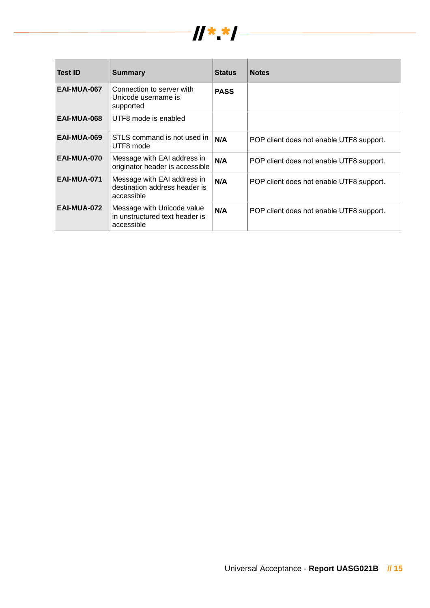

| <b>Test ID</b> | Summary                                                                    | <b>Status</b> | <b>Notes</b>                             |
|----------------|----------------------------------------------------------------------------|---------------|------------------------------------------|
| EAI-MUA-067    | Connection to server with<br>Unicode username is<br>supported              | <b>PASS</b>   |                                          |
| EAI-MUA-068    | UTF8 mode is enabled                                                       |               |                                          |
| EAI-MUA-069    | STLS command is not used in<br>UTF8 mode                                   | N/A           | POP client does not enable UTF8 support. |
| EAI-MUA-070    | Message with EAI address in<br>originator header is accessible             | N/A           | POP client does not enable UTF8 support. |
| EAI-MUA-071    | Message with EAI address in<br>destination address header is<br>accessible | N/A           | POP client does not enable UTF8 support. |
| EAI-MUA-072    | Message with Unicode value<br>in unstructured text header is<br>accessible | N/A           | POP client does not enable UTF8 support. |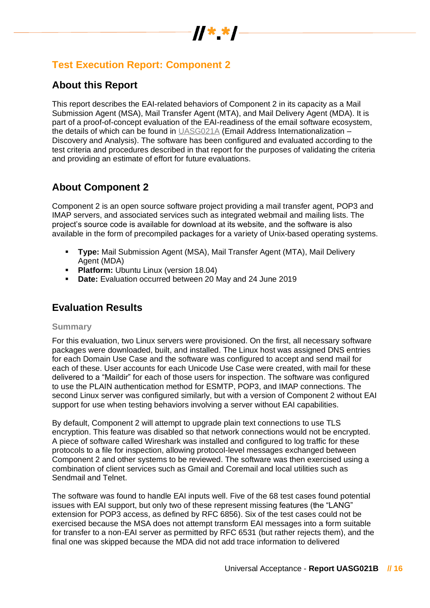

# **Test Execution Report: Component 2**

# **About this Report**

This report describes the EAI-related behaviors of Component 2 in its capacity as a Mail Submission Agent (MSA), Mail Transfer Agent (MTA), and Mail Delivery Agent (MDA). It is part of a proof-of-concept evaluation of the EAI-readiness of the email software ecosystem, the details of which can be found in [UASG021A](https://uasg.tech/wp-content/uploads/2018/09/UASG021A.pdf) (Email Address Internationalization – Discovery and Analysis). The software has been configured and evaluated according to the test criteria and procedures described in that report for the purposes of validating the criteria and providing an estimate of effort for future evaluations.

# **About Component 2**

Component 2 is an open source software project providing a mail transfer agent, POP3 and IMAP servers, and associated services such as integrated webmail and mailing lists. The project's source code is available for download at its website, and the software is also available in the form of precompiled packages for a variety of Unix-based operating systems.

- **Type:** Mail Submission Agent (MSA), Mail Transfer Agent (MTA), Mail Delivery Agent (MDA)
- **Platform: Ubuntu Linux (version 18.04)**
- **Date:** Evaluation occurred between 20 May and 24 June 2019

# **Evaluation Results**

### **Summary**

For this evaluation, two Linux servers were provisioned. On the first, all necessary software packages were downloaded, built, and installed. The Linux host was assigned DNS entries for each Domain Use Case and the software was configured to accept and send mail for each of these. User accounts for each Unicode Use Case were created, with mail for these delivered to a "Maildir" for each of those users for inspection. The software was configured to use the PLAIN authentication method for ESMTP, POP3, and IMAP connections. The second Linux server was configured similarly, but with a version of Component 2 without EAI support for use when testing behaviors involving a server without EAI capabilities.

By default, Component 2 will attempt to upgrade plain text connections to use TLS encryption. This feature was disabled so that network connections would not be encrypted. A piece of software called Wireshark was installed and configured to log traffic for these protocols to a file for inspection, allowing protocol-level messages exchanged between Component 2 and other systems to be reviewed. The software was then exercised using a combination of client services such as Gmail and Coremail and local utilities such as Sendmail and Telnet.

The software was found to handle EAI inputs well. Five of the 68 test cases found potential issues with EAI support, but only two of these represent missing features (the "LANG" extension for POP3 access, as defined by RFC 6856). Six of the test cases could not be exercised because the MSA does not attempt transform EAI messages into a form suitable for transfer to a non-EAI server as permitted by RFC 6531 (but rather rejects them), and the final one was skipped because the MDA did not add trace information to delivered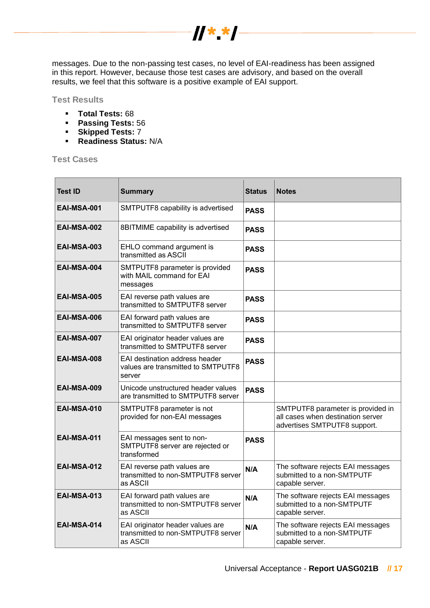

messages. Due to the non-passing test cases, no level of EAI-readiness has been assigned in this report. However, because those test cases are advisory, and based on the overall results, we feel that this software is a positive example of EAI support.

**Test Results**

- **Total Tests:** 68
- **Passing Tests:** 56
- **Skipped Tests:** 7
- **Readiness Status:** N/A

**Test Cases**

| <b>Test ID</b>     | <b>Summary</b>                                                                     | <b>Status</b> | <b>Notes</b>                                                                                           |
|--------------------|------------------------------------------------------------------------------------|---------------|--------------------------------------------------------------------------------------------------------|
| <b>EAI-MSA-001</b> | SMTPUTF8 capability is advertised                                                  | <b>PASS</b>   |                                                                                                        |
| EAI-MSA-002        | 8BITMIME capability is advertised                                                  | <b>PASS</b>   |                                                                                                        |
| EAI-MSA-003        | EHLO command argument is<br>transmitted as ASCII                                   | <b>PASS</b>   |                                                                                                        |
| EAI-MSA-004        | SMTPUTF8 parameter is provided<br>with MAIL command for EAI<br>messages            | <b>PASS</b>   |                                                                                                        |
| EAI-MSA-005        | EAI reverse path values are<br>transmitted to SMTPUTF8 server                      | <b>PASS</b>   |                                                                                                        |
| EAI-MSA-006        | EAI forward path values are<br>transmitted to SMTPUTF8 server                      | <b>PASS</b>   |                                                                                                        |
| EAI-MSA-007        | EAI originator header values are<br>transmitted to SMTPUTF8 server                 | <b>PASS</b>   |                                                                                                        |
| EAI-MSA-008        | EAI destination address header<br>values are transmitted to SMTPUTF8<br>server     | <b>PASS</b>   |                                                                                                        |
| EAI-MSA-009        | Unicode unstructured header values<br>are transmitted to SMTPUTF8 server           | <b>PASS</b>   |                                                                                                        |
| EAI-MSA-010        | SMTPUTF8 parameter is not<br>provided for non-EAI messages                         |               | SMTPUTF8 parameter is provided in<br>all cases when destination server<br>advertises SMTPUTF8 support. |
| EAI-MSA-011        | EAI messages sent to non-<br>SMTPUTF8 server are rejected or<br>transformed        | <b>PASS</b>   |                                                                                                        |
| <b>EAI-MSA-012</b> | EAI reverse path values are<br>transmitted to non-SMTPUTF8 server<br>as ASCII      | N/A           | The software rejects EAI messages<br>submitted to a non-SMTPUTF<br>capable server.                     |
| <b>EAI-MSA-013</b> | EAI forward path values are<br>transmitted to non-SMTPUTF8 server<br>as ASCII      | N/A           | The software rejects EAI messages<br>submitted to a non-SMTPUTF<br>capable server.                     |
| EAI-MSA-014        | EAI originator header values are<br>transmitted to non-SMTPUTF8 server<br>as ASCII | N/A           | The software rejects EAI messages<br>submitted to a non-SMTPUTF<br>capable server.                     |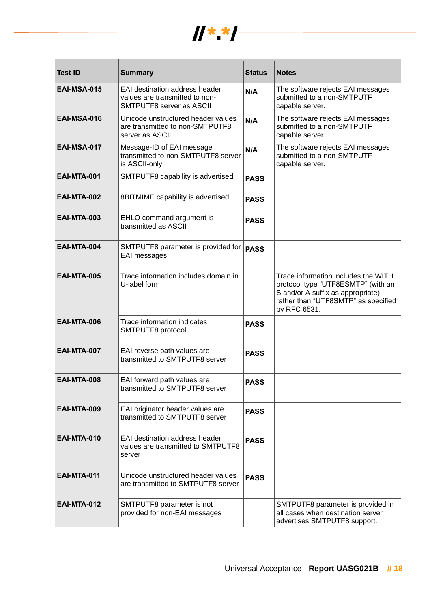

| <b>Test ID</b>     | <b>Summary</b>                                                                                      | <b>Status</b> | <b>Notes</b>                                                                                                                                                          |
|--------------------|-----------------------------------------------------------------------------------------------------|---------------|-----------------------------------------------------------------------------------------------------------------------------------------------------------------------|
| <b>EAI-MSA-015</b> | EAI destination address header<br>values are transmitted to non-<br><b>SMTPUTF8 server as ASCII</b> | N/A           | The software rejects EAI messages<br>submitted to a non-SMTPUTF<br>capable server.                                                                                    |
| EAI-MSA-016        | Unicode unstructured header values<br>are transmitted to non-SMTPUTF8<br>server as ASCII            | N/A           | The software rejects EAI messages<br>submitted to a non-SMTPUTF<br>capable server.                                                                                    |
| <b>EAI-MSA-017</b> | Message-ID of EAI message<br>transmitted to non-SMTPUTF8 server<br>is ASCII-only                    | N/A           | The software rejects EAI messages<br>submitted to a non-SMTPUTF<br>capable server.                                                                                    |
| <b>EAI-MTA-001</b> | SMTPUTF8 capability is advertised                                                                   | <b>PASS</b>   |                                                                                                                                                                       |
| <b>EAI-MTA-002</b> | 8BITMIME capability is advertised                                                                   | <b>PASS</b>   |                                                                                                                                                                       |
| <b>EAI-MTA-003</b> | EHLO command argument is<br>transmitted as ASCII                                                    | <b>PASS</b>   |                                                                                                                                                                       |
| <b>EAI-MTA-004</b> | SMTPUTF8 parameter is provided for<br>EAI messages                                                  | <b>PASS</b>   |                                                                                                                                                                       |
| <b>EAI-MTA-005</b> | Trace information includes domain in<br>U-label form                                                |               | Trace information includes the WITH<br>protocol type "UTF8ESMTP" (with an<br>S and/or A suffix as appropriate)<br>rather than "UTF8SMTP" as specified<br>by RFC 6531. |
| <b>EAI-MTA-006</b> | Trace information indicates<br>SMTPUTF8 protocol                                                    | <b>PASS</b>   |                                                                                                                                                                       |
| EAI-MTA-007        | EAI reverse path values are<br>transmitted to SMTPUTF8 server                                       | <b>PASS</b>   |                                                                                                                                                                       |
| <b>EAI-MTA-008</b> | EAI forward path values are<br>transmitted to SMTPUTF8 server                                       | <b>PASS</b>   |                                                                                                                                                                       |
| <b>EAI-MTA-009</b> | EAI originator header values are<br>transmitted to SMTPUTF8 server                                  | <b>PASS</b>   |                                                                                                                                                                       |
| <b>EAI-MTA-010</b> | EAI destination address header<br>values are transmitted to SMTPUTF8<br>server                      | <b>PASS</b>   |                                                                                                                                                                       |
| <b>EAI-MTA-011</b> | Unicode unstructured header values<br>are transmitted to SMTPUTF8 server                            | <b>PASS</b>   |                                                                                                                                                                       |
| <b>EAI-MTA-012</b> | SMTPUTF8 parameter is not<br>provided for non-EAI messages                                          |               | SMTPUTF8 parameter is provided in<br>all cases when destination server<br>advertises SMTPUTF8 support.                                                                |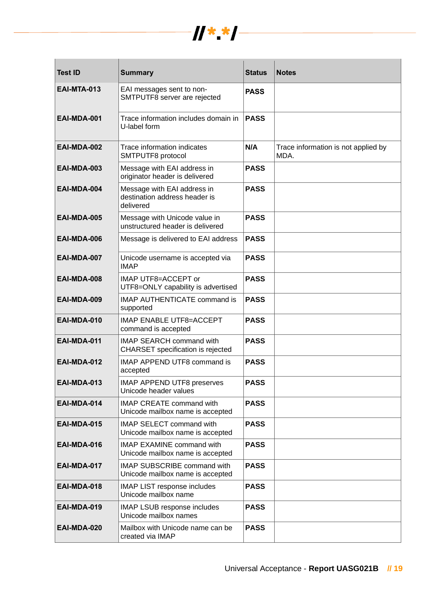

| <b>Test ID</b>     | <b>Summary</b>                                                            | <b>Status</b> | <b>Notes</b>                                |
|--------------------|---------------------------------------------------------------------------|---------------|---------------------------------------------|
| <b>EAI-MTA-013</b> | EAI messages sent to non-<br>SMTPUTF8 server are rejected                 | <b>PASS</b>   |                                             |
| EAI-MDA-001        | Trace information includes domain in<br>U-label form                      | <b>PASS</b>   |                                             |
| EAI-MDA-002        | Trace information indicates<br>SMTPUTF8 protocol                          | N/A           | Trace information is not applied by<br>MDA. |
| EAI-MDA-003        | Message with EAI address in<br>originator header is delivered             | <b>PASS</b>   |                                             |
| EAI-MDA-004        | Message with EAI address in<br>destination address header is<br>delivered | <b>PASS</b>   |                                             |
| EAI-MDA-005        | Message with Unicode value in<br>unstructured header is delivered         | <b>PASS</b>   |                                             |
| EAI-MDA-006        | Message is delivered to EAI address                                       | <b>PASS</b>   |                                             |
| EAI-MDA-007        | Unicode username is accepted via<br><b>IMAP</b>                           | <b>PASS</b>   |                                             |
| EAI-MDA-008        | IMAP UTF8=ACCEPT or<br>UTF8=ONLY capability is advertised                 | <b>PASS</b>   |                                             |
| EAI-MDA-009        | <b>IMAP AUTHENTICATE command is</b><br>supported                          | <b>PASS</b>   |                                             |
| EAI-MDA-010        | <b>IMAP ENABLE UTF8=ACCEPT</b><br>command is accepted                     | <b>PASS</b>   |                                             |
| EAI-MDA-011        | <b>IMAP SEARCH command with</b><br>CHARSET specification is rejected      | <b>PASS</b>   |                                             |
| EAI-MDA-012        | IMAP APPEND UTF8 command is<br>accepted                                   | <b>PASS</b>   |                                             |
| <b>EAI-MDA-013</b> | IMAP APPEND UTF8 preserves<br>Unicode header values                       | <b>PASS</b>   |                                             |
| EAI-MDA-014        | <b>IMAP CREATE command with</b><br>Unicode mailbox name is accepted       | <b>PASS</b>   |                                             |
| <b>EAI-MDA-015</b> | <b>IMAP SELECT command with</b><br>Unicode mailbox name is accepted       | <b>PASS</b>   |                                             |
| EAI-MDA-016        | <b>IMAP EXAMINE command with</b><br>Unicode mailbox name is accepted      | <b>PASS</b>   |                                             |
| EAI-MDA-017        | <b>IMAP SUBSCRIBE command with</b><br>Unicode mailbox name is accepted    | <b>PASS</b>   |                                             |
| EAI-MDA-018        | <b>IMAP LIST response includes</b><br>Unicode mailbox name                | <b>PASS</b>   |                                             |
| EAI-MDA-019        | IMAP LSUB response includes<br>Unicode mailbox names                      | <b>PASS</b>   |                                             |
| EAI-MDA-020        | Mailbox with Unicode name can be<br>created via IMAP                      | <b>PASS</b>   |                                             |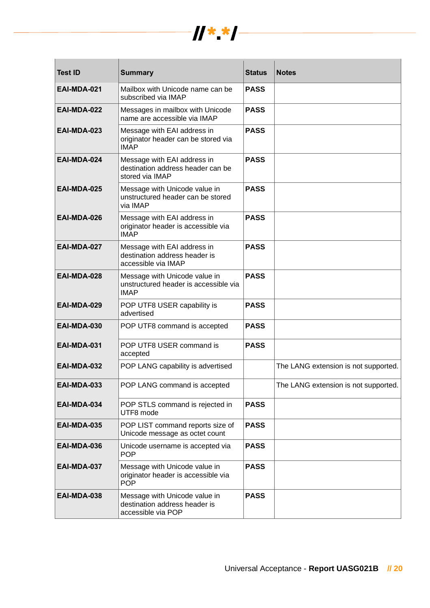

| <b>Test ID</b>     | <b>Summary</b>                                                                        | <b>Status</b> | <b>Notes</b>                         |
|--------------------|---------------------------------------------------------------------------------------|---------------|--------------------------------------|
| EAI-MDA-021        | Mailbox with Unicode name can be<br>subscribed via IMAP                               | <b>PASS</b>   |                                      |
| EAI-MDA-022        | Messages in mailbox with Unicode<br>name are accessible via IMAP                      | <b>PASS</b>   |                                      |
| EAI-MDA-023        | Message with EAI address in<br>originator header can be stored via<br><b>IMAP</b>     | <b>PASS</b>   |                                      |
| EAI-MDA-024        | Message with EAI address in<br>destination address header can be<br>stored via IMAP   | <b>PASS</b>   |                                      |
| EAI-MDA-025        | Message with Unicode value in<br>unstructured header can be stored<br>via IMAP        | <b>PASS</b>   |                                      |
| EAI-MDA-026        | Message with EAI address in<br>originator header is accessible via<br><b>IMAP</b>     | <b>PASS</b>   |                                      |
| EAI-MDA-027        | Message with EAI address in<br>destination address header is<br>accessible via IMAP   | <b>PASS</b>   |                                      |
| EAI-MDA-028        | Message with Unicode value in<br>unstructured header is accessible via<br><b>IMAP</b> | <b>PASS</b>   |                                      |
| EAI-MDA-029        | POP UTF8 USER capability is<br>advertised                                             | <b>PASS</b>   |                                      |
| EAI-MDA-030        | POP UTF8 command is accepted                                                          | <b>PASS</b>   |                                      |
| EAI-MDA-031        | POP UTF8 USER command is<br>accepted                                                  | <b>PASS</b>   |                                      |
| EAI-MDA-032        | POP LANG capability is advertised                                                     |               | The LANG extension is not supported. |
| EAI-MDA-033        | POP LANG command is accepted                                                          |               | The LANG extension is not supported. |
| EAI-MDA-034        | POP STLS command is rejected in<br>UTF8 mode                                          | <b>PASS</b>   |                                      |
| <b>EAI-MDA-035</b> | POP LIST command reports size of<br>Unicode message as octet count                    | <b>PASS</b>   |                                      |
| EAI-MDA-036        | Unicode username is accepted via<br><b>POP</b>                                        | <b>PASS</b>   |                                      |
| EAI-MDA-037        | Message with Unicode value in<br>originator header is accessible via<br><b>POP</b>    | <b>PASS</b>   |                                      |
| EAI-MDA-038        | Message with Unicode value in<br>destination address header is<br>accessible via POP  | <b>PASS</b>   |                                      |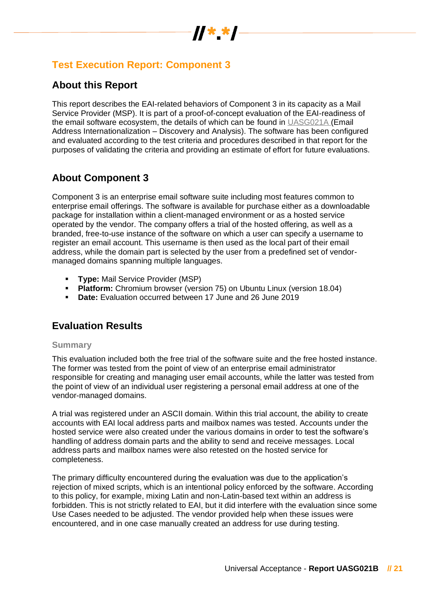

# **Test Execution Report: Component 3**

# **About this Report**

This report describes the EAI-related behaviors of Component 3 in its capacity as a Mail Service Provider (MSP). It is part of a proof-of-concept evaluation of the EAI-readiness of the email software ecosystem, the details of which can be found in [UASG021A](https://uasg.tech/wp-content/uploads/2018/09/UASG021A.pdf) (Email Address Internationalization – Discovery and Analysis). The software has been configured and evaluated according to the test criteria and procedures described in that report for the purposes of validating the criteria and providing an estimate of effort for future evaluations.

# **About Component 3**

Component 3 is an enterprise email software suite including most features common to enterprise email offerings. The software is available for purchase either as a downloadable package for installation within a client-managed environment or as a hosted service operated by the vendor. The company offers a trial of the hosted offering, as well as a branded, free-to-use instance of the software on which a user can specify a username to register an email account. This username is then used as the local part of their email address, while the domain part is selected by the user from a predefined set of vendormanaged domains spanning multiple languages.

- **Type:** Mail Service Provider (MSP)
- **Platform:** Chromium browser (version 75) on Ubuntu Linux (version 18.04)
- **Date:** Evaluation occurred between 17 June and 26 June 2019

# **Evaluation Results**

### **Summary**

This evaluation included both the free trial of the software suite and the free hosted instance. The former was tested from the point of view of an enterprise email administrator responsible for creating and managing user email accounts, while the latter was tested from the point of view of an individual user registering a personal email address at one of the vendor-managed domains.

A trial was registered under an ASCII domain. Within this trial account, the ability to create accounts with EAI local address parts and mailbox names was tested. Accounts under the hosted service were also created under the various domains in order to test the software's handling of address domain parts and the ability to send and receive messages. Local address parts and mailbox names were also retested on the hosted service for completeness.

The primary difficulty encountered during the evaluation was due to the application's rejection of mixed scripts, which is an intentional policy enforced by the software. According to this policy, for example, mixing Latin and non-Latin-based text within an address is forbidden. This is not strictly related to EAI, but it did interfere with the evaluation since some Use Cases needed to be adjusted. The vendor provided help when these issues were encountered, and in one case manually created an address for use during testing.